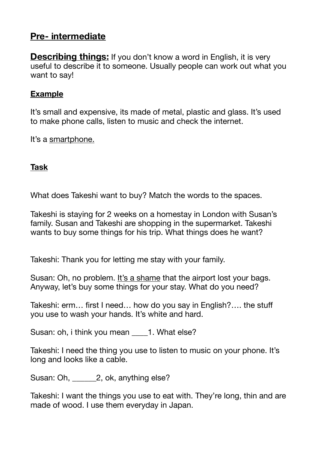# **Pre- intermediate**

**Describing things:** If you don't know a word in English, it is very useful to describe it to someone. Usually people can work out what you want to say!

### **Example**

It's small and expensive, its made of metal, plastic and glass. It's used to make phone calls, listen to music and check the internet.

It's a smartphone.

### **Task**

What does Takeshi want to buy? Match the words to the spaces.

Takeshi is staying for 2 weeks on a homestay in London with Susan's family. Susan and Takeshi are shopping in the supermarket. Takeshi wants to buy some things for his trip. What things does he want?

Takeshi: Thank you for letting me stay with your family.

Susan: Oh, no problem. It's a shame that the airport lost your bags. Anyway, let's buy some things for your stay. What do you need?

Takeshi: erm… first I need… how do you say in English?…. the stuff you use to wash your hands. It's white and hard.

Susan: oh, i think you mean  $\qquad 1.$  What else?

Takeshi: I need the thing you use to listen to music on your phone. It's long and looks like a cable.

Susan: Oh,  $\qquad 2$ , ok, anything else?

Takeshi: I want the things you use to eat with. They're long, thin and are made of wood. I use them everyday in Japan.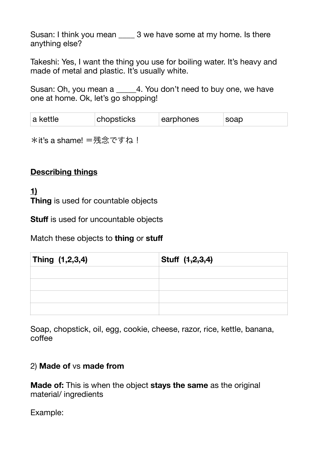Susan: I think you mean 3 we have some at my home. Is there anything else?

Takeshi: Yes, I want the thing you use for boiling water. It's heavy and made of metal and plastic. It's usually white.

Susan: Oh, you mean a  $\overline{a}$  4. You don't need to buy one, we have one at home. Ok, let's go shopping!

| a kettle | chopsticks | earphones | soap |
|----------|------------|-----------|------|
|          |            |           |      |

\*it's a shame! =残念ですね!

#### **Describing things**

**1) Thing** is used for countable objects

**Stuff** is used for uncountable objects

Match these objects to **thing** or **stuff**

| Thing (1,2,3,4) | Stuff (1,2,3,4) |
|-----------------|-----------------|
|                 |                 |
|                 |                 |
|                 |                 |
|                 |                 |

Soap, chopstick, oil, egg, cookie, cheese, razor, rice, kettle, banana, coffee

#### 2) **Made of** vs **made from**

**Made of:** This is when the object **stays the same** as the original material/ ingredients

Example: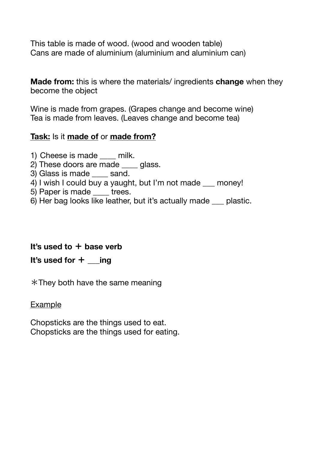This table is made of wood. (wood and wooden table) Cans are made of aluminium (aluminium and aluminium can)

**Made from:** this is where the materials/ ingredients **change** when they become the object

Wine is made from grapes. (Grapes change and become wine) Tea is made from leaves. (Leaves change and become tea)

#### **Task:** Is it **made of** or **made from?**

- 1) Cheese is made milk.
- 2) These doors are made qlass.
- 3) Glass is made sand.
- 4) I wish I could buy a yaught, but I'm not made \_\_\_ money!
- 5) Paper is made trees.
- 6) Her bag looks like leather, but it's actually made \_\_\_ plastic.

### **It's used to** + **base verb**

#### **It's used for** + **\_\_\_ing**

 $*$ They both have the same meaning

#### **Example**

Chopsticks are the things used to eat. Chopsticks are the things used for eating.